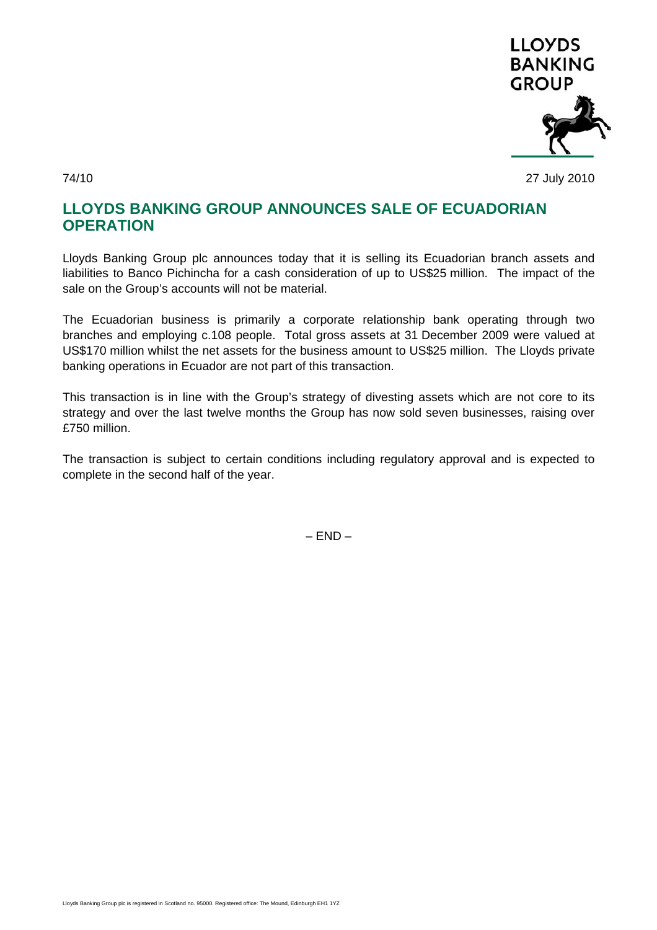

74/10 27 July 2010

## **LLOYDS BANKING GROUP ANNOUNCES SALE OF ECUADORIAN OPERATION**

Lloyds Banking Group plc announces today that it is selling its Ecuadorian branch assets and liabilities to Banco Pichincha for a cash consideration of up to US\$25 million. The impact of the sale on the Group's accounts will not be material.

The Ecuadorian business is primarily a corporate relationship bank operating through two branches and employing c.108 people. Total gross assets at 31 December 2009 were valued at US\$170 million whilst the net assets for the business amount to US\$25 million. The Lloyds private banking operations in Ecuador are not part of this transaction.

This transaction is in line with the Group's strategy of divesting assets which are not core to its strategy and over the last twelve months the Group has now sold seven businesses, raising over £750 million.

The transaction is subject to certain conditions including regulatory approval and is expected to complete in the second half of the year.

 $-$  END  $-$